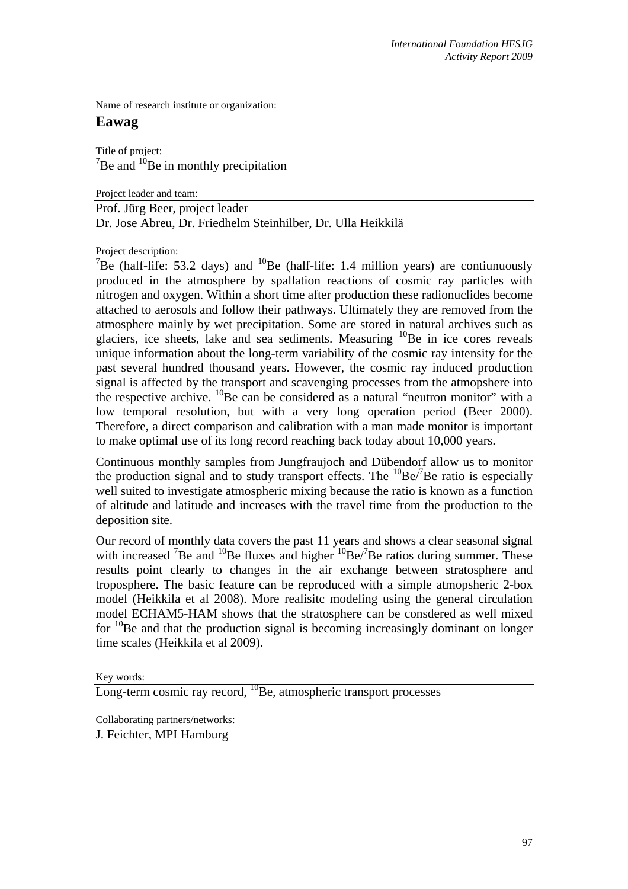Name of research institute or organization:

## **Eawag**

Title of project:

 $7$ Be and  $10$ Be in monthly precipitation

Project leader and team:

Prof. Jürg Beer, project leader Dr. Jose Abreu, Dr. Friedhelm Steinhilber, Dr. Ulla Heikkilä

Project description:

<sup>7</sup>Be (half-life: 53.2 days) and <sup>10</sup>Be (half-life: 1.4 million years) are contiunuously produced in the atmosphere by spallation reactions of cosmic ray particles with nitrogen and oxygen. Within a short time after production these radionuclides become attached to aerosols and follow their pathways. Ultimately they are removed from the atmosphere mainly by wet precipitation. Some are stored in natural archives such as glaciers, ice sheets, lake and sea sediments. Measuring  $^{10}$ Be in ice cores reveals unique information about the long-term variability of the cosmic ray intensity for the past several hundred thousand years. However, the cosmic ray induced production signal is affected by the transport and scavenging processes from the atmopshere into the respective archive.  $^{10}$ Be can be considered as a natural "neutron monitor" with a low temporal resolution, but with a very long operation period (Beer 2000). Therefore, a direct comparison and calibration with a man made monitor is important to make optimal use of its long record reaching back today about 10,000 years.

Continuous monthly samples from Jungfraujoch and Dübendorf allow us to monitor the production signal and to study transport effects. The  ${}^{10}$ Be/ ${}^{7}$ Be ratio is especially well suited to investigate atmospheric mixing because the ratio is known as a function of altitude and latitude and increases with the travel time from the production to the deposition site.

Our record of monthly data covers the past 11 years and shows a clear seasonal signal with increased <sup>7</sup>Be and <sup>10</sup>Be fluxes and higher  $^{10}$ Be/<sup>7</sup>Be ratios during summer. These results point clearly to changes in the air exchange between stratosphere and troposphere. The basic feature can be reproduced with a simple atmopsheric 2-box model (Heikkila et al 2008). More realisitc modeling using the general circulation model ECHAM5-HAM shows that the stratosphere can be consdered as well mixed for  $^{10}$ Be and that the production signal is becoming increasingly dominant on longer time scales (Heikkila et al 2009).

Key words:

Long-term cosmic ray record,  $^{10}$ Be, atmospheric transport processes

Collaborating partners/networks:

J. Feichter, MPI Hamburg